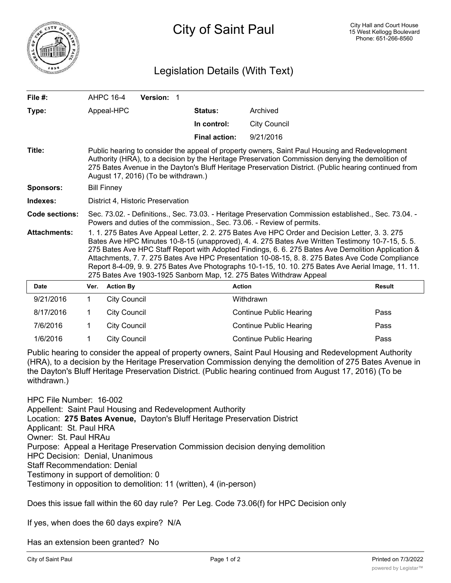

## Legislation Details (With Text)

| File #:               |                                                                                                                                                                                                                                                                                                                                                                                                                                                                                                                                                                                         | AHPC 16-4<br><b>Version: 1</b> |                      |                                |               |
|-----------------------|-----------------------------------------------------------------------------------------------------------------------------------------------------------------------------------------------------------------------------------------------------------------------------------------------------------------------------------------------------------------------------------------------------------------------------------------------------------------------------------------------------------------------------------------------------------------------------------------|--------------------------------|----------------------|--------------------------------|---------------|
| Type:                 |                                                                                                                                                                                                                                                                                                                                                                                                                                                                                                                                                                                         | Appeal-HPC                     | Status:              | Archived                       |               |
|                       |                                                                                                                                                                                                                                                                                                                                                                                                                                                                                                                                                                                         |                                | In control:          | <b>City Council</b>            |               |
|                       |                                                                                                                                                                                                                                                                                                                                                                                                                                                                                                                                                                                         |                                | <b>Final action:</b> | 9/21/2016                      |               |
| Title:                | Public hearing to consider the appeal of property owners, Saint Paul Housing and Redevelopment<br>Authority (HRA), to a decision by the Heritage Preservation Commission denying the demolition of<br>275 Bates Avenue in the Dayton's Bluff Heritage Preservation District. (Public hearing continued from<br>August 17, 2016) (To be withdrawn.)                                                                                                                                                                                                                                      |                                |                      |                                |               |
| <b>Sponsors:</b>      | <b>Bill Finney</b>                                                                                                                                                                                                                                                                                                                                                                                                                                                                                                                                                                      |                                |                      |                                |               |
| Indexes:              | District 4. Historic Preservation                                                                                                                                                                                                                                                                                                                                                                                                                                                                                                                                                       |                                |                      |                                |               |
| <b>Code sections:</b> | Sec. 73.02. - Definitions., Sec. 73.03. - Heritage Preservation Commission established., Sec. 73.04. -<br>Powers and duties of the commission., Sec. 73.06. - Review of permits.                                                                                                                                                                                                                                                                                                                                                                                                        |                                |                      |                                |               |
| <b>Attachments:</b>   | 1. 1. 275 Bates Ave Appeal Letter, 2. 2. 275 Bates Ave HPC Order and Decision Letter, 3. 3. 275<br>Bates Ave HPC Minutes 10-8-15 (unapproved), 4. 4. 275 Bates Ave Written Testimony 10-7-15, 5. 5.<br>275 Bates Ave HPC Staff Report with Adopted Findings, 6. 6. 275 Bates Ave Demolition Application &<br>Attachments, 7.7. 275 Bates Ave HPC Presentation 10-08-15, 8.8. 275 Bates Ave Code Compliance<br>Report 8-4-09, 9. 9. 275 Bates Ave Photographs 10-1-15, 10. 10. 275 Bates Ave Aerial Image, 11. 11.<br>275 Bates Ave 1903-1925 Sanborn Map, 12. 275 Bates Withdraw Appeal |                                |                      |                                |               |
| <b>Date</b>           | Ver.                                                                                                                                                                                                                                                                                                                                                                                                                                                                                                                                                                                    | <b>Action By</b>               | <b>Action</b>        |                                | <b>Result</b> |
| 9/21/2016             | 1                                                                                                                                                                                                                                                                                                                                                                                                                                                                                                                                                                                       | <b>City Council</b>            |                      | Withdrawn                      |               |
| 8/17/2016             | 1                                                                                                                                                                                                                                                                                                                                                                                                                                                                                                                                                                                       | <b>City Council</b>            |                      | Continue Public Hearing        | Pass          |
| 7/6/2016              | 1                                                                                                                                                                                                                                                                                                                                                                                                                                                                                                                                                                                       | <b>City Council</b>            |                      | Continue Public Hearing        | Pass          |
| 1/6/2016              | 1                                                                                                                                                                                                                                                                                                                                                                                                                                                                                                                                                                                       | <b>City Council</b>            |                      | <b>Continue Public Hearing</b> | Pass          |

Public hearing to consider the appeal of property owners, Saint Paul Housing and Redevelopment Authority (HRA), to a decision by the Heritage Preservation Commission denying the demolition of 275 Bates Avenue in the Dayton's Bluff Heritage Preservation District. (Public hearing continued from August 17, 2016) (To be withdrawn.)

HPC File Number: 16-002 Appellent: Saint Paul Housing and Redevelopment Authority Location: **275 Bates Avenue,** Dayton's Bluff Heritage Preservation District Applicant: St. Paul HRA Owner: St. Paul HRAu Purpose: Appeal a Heritage Preservation Commission decision denying demolition HPC Decision: Denial, Unanimous Staff Recommendation: Denial Testimony in support of demolition: 0 Testimony in opposition to demolition: 11 (written), 4 (in-person)

Does this issue fall within the 60 day rule? Per Leg. Code 73.06(f) for HPC Decision only

If yes, when does the 60 days expire? N/A

Has an extension been granted? No